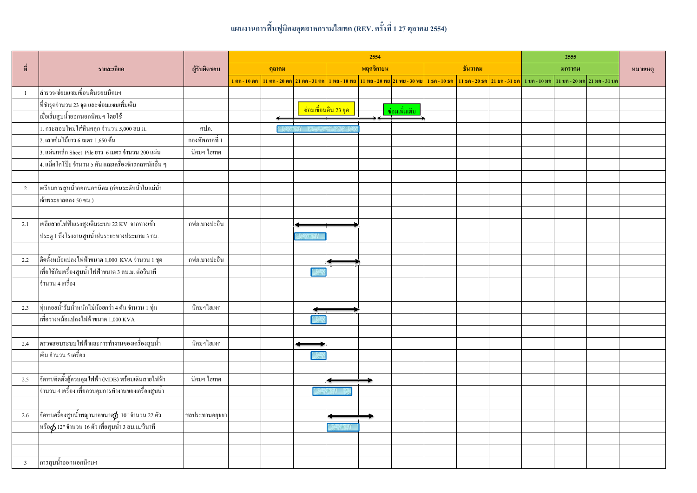## แผนงานการฟื้นฟูนิคมอุตสาหกรรมไฮเทค (REV. ครั้งที่ 1 27 ตุลาคม 2554)

|                         | รายละเอียด                                              | ผู้รับผิดชอบ   | 2554   |  |  |                                     |                                                                                                                   |               |         |  |  |                                                                                            | 2555 |  |          |
|-------------------------|---------------------------------------------------------|----------------|--------|--|--|-------------------------------------|-------------------------------------------------------------------------------------------------------------------|---------------|---------|--|--|--------------------------------------------------------------------------------------------|------|--|----------|
| ที่                     |                                                         |                | ตุลาคม |  |  | พฤศจิกายน                           |                                                                                                                   |               | ชีนวาคม |  |  | มกราคม                                                                                     |      |  | หมายเหตุ |
|                         |                                                         |                |        |  |  |                                     | <u>1 ตก - 10 ตก   11 ตก - 20 ตก   21 ตก - 31 ตก   1 พย - 10 พย   11 พย - 20 พย   21 พย - 30 พย   1 ธก - 10 ธก</u> |               |         |  |  | <mark>่ 11 ธค - 20 ธค </mark> 21 ธค - 31 ธค ่ 1 มค - 10 มค ่ 11 มค - 20 มค ่ 21 มค - 31 มค |      |  |          |
| $\mathbf{1}$            | ่ สำรวจ/ซ่อมแซมเขื่อนดินรอบนิคมฯ                        |                |        |  |  |                                     |                                                                                                                   |               |         |  |  |                                                                                            |      |  |          |
|                         | ที่ชำรุคจำนวน 23 จุด และซ่อมแซมเพิ่มเติม                |                |        |  |  | ี <mark>ซ่อมเบื่อนดิน 23 จุด</mark> |                                                                                                                   |               |         |  |  |                                                                                            |      |  |          |
|                         | เมื่อเริ่มสูบน้ำออกนอกนิคมฯ โดยใช้                      |                |        |  |  |                                     |                                                                                                                   | ซ่อมเพิ่มเติม |         |  |  |                                                                                            |      |  |          |
|                         | 1. กระสอบใหม่ใส่หินคลุก จำนวน 5,000 ลบ.ม.               | ศปภ.           |        |  |  |                                     |                                                                                                                   |               |         |  |  |                                                                                            |      |  |          |
|                         | 2. เสาเข็มไม้ยาว 6 เมตร 1,650 ต้น                       | กองทัพภาคที่ 1 |        |  |  |                                     |                                                                                                                   |               |         |  |  |                                                                                            |      |  |          |
|                         | 3. แผ่นเหล็ก Sheet Pile ยาว 6 เมตร จำนวน 200 แผ่น       | นิคมฯ ไฮเทค    |        |  |  |                                     |                                                                                                                   |               |         |  |  |                                                                                            |      |  |          |
|                         | 4. แม็คโคโป๊ะ จำนวน 5 คัน และเครื่องจักรกลหนักอื่น ๆ    |                |        |  |  |                                     |                                                                                                                   |               |         |  |  |                                                                                            |      |  |          |
|                         |                                                         |                |        |  |  |                                     |                                                                                                                   |               |         |  |  |                                                                                            |      |  |          |
| $\overline{2}$          | เตรียมการสูบน้ำออกนอกนิคม (ก่อนระดับน้ำในแม่น้ำ         |                |        |  |  |                                     |                                                                                                                   |               |         |  |  |                                                                                            |      |  |          |
|                         | เจ้าพระยาลคลง 50 ซม.)                                   |                |        |  |  |                                     |                                                                                                                   |               |         |  |  |                                                                                            |      |  |          |
|                         |                                                         |                |        |  |  |                                     |                                                                                                                   |               |         |  |  |                                                                                            |      |  |          |
| 2.1                     | เคลียสายไฟฟ้าแรงสูงเดิมระบบ 22 KV จากทางเข้า            | กฟภ.บางปะอิน   |        |  |  |                                     |                                                                                                                   |               |         |  |  |                                                                                            |      |  |          |
|                         | ประตู 1 ถึงโรงงานสูบน้ำฝนระยะทางประมาณ 3 กม.            |                |        |  |  |                                     |                                                                                                                   |               |         |  |  |                                                                                            |      |  |          |
|                         |                                                         |                |        |  |  |                                     |                                                                                                                   |               |         |  |  |                                                                                            |      |  |          |
| 2.2                     | ์ติดตั้งหม้อแปลงไฟฟ้าขนาด 1,000 KVA จำนวน 1 ชุด         | กฟก.บางปะอิน   |        |  |  |                                     |                                                                                                                   |               |         |  |  |                                                                                            |      |  |          |
|                         | เพื่อใช้กับเครื่องสูบน้ำไฟฟ้าขนาด 3 ลบ.ม. ต่อวินาที     |                |        |  |  |                                     |                                                                                                                   |               |         |  |  |                                                                                            |      |  |          |
|                         | จำนวน 4 เครื่อง                                         |                |        |  |  |                                     |                                                                                                                   |               |         |  |  |                                                                                            |      |  |          |
|                         |                                                         |                |        |  |  |                                     |                                                                                                                   |               |         |  |  |                                                                                            |      |  |          |
| 2.3                     | ทุ่นลอยน้ำรับน้ำหนักไม่น้อยกว่า 4 ตัน จำนวน 1 ทุ่น      | นิคมฯไฮเทค     |        |  |  |                                     |                                                                                                                   |               |         |  |  |                                                                                            |      |  |          |
|                         | เพื่อวางหม้อแปลงไฟฟ้าขนาด 1,000 KVA                     |                |        |  |  |                                     |                                                                                                                   |               |         |  |  |                                                                                            |      |  |          |
|                         |                                                         |                |        |  |  |                                     |                                                                                                                   |               |         |  |  |                                                                                            |      |  |          |
| 2.4                     | โตรวจสอบระบบไฟฟ้าและการทำงานของเครื่องสูบน้ำ            | นิคมฯไฮเทค     |        |  |  |                                     |                                                                                                                   |               |         |  |  |                                                                                            |      |  |          |
|                         | เดิม จำนวน 5 เครื่อง                                    |                |        |  |  |                                     |                                                                                                                   |               |         |  |  |                                                                                            |      |  |          |
|                         |                                                         |                |        |  |  |                                     |                                                                                                                   |               |         |  |  |                                                                                            |      |  |          |
| 2.5                     | จัดหา/ติดตั้งตู้ควบคุมไฟฟ้า (MDB) พร้อมเดินสายไฟฟ้า     | นิคมฯ ไฮเทค    |        |  |  |                                     |                                                                                                                   |               |         |  |  |                                                                                            |      |  |          |
|                         | ้จำนวน 4 เครื่อง เพื่อควบคุมการทำงานของเครื่องสูบน้ำ    |                |        |  |  |                                     |                                                                                                                   |               |         |  |  |                                                                                            |      |  |          |
|                         |                                                         |                |        |  |  |                                     |                                                                                                                   |               |         |  |  |                                                                                            |      |  |          |
| 2.6                     | จัดหาเครื่องสูบน้ำพญานาคขนาด $\phi$ 10" จำนวน 22 ตัว    | ชลประทานอยุธยา |        |  |  |                                     |                                                                                                                   |               |         |  |  |                                                                                            |      |  |          |
|                         | หรือ $\phi$ 12" จำนวน 16 ตัว เพื่อสูบน้ำ 3 ลบ.ม./วินาที |                |        |  |  |                                     |                                                                                                                   |               |         |  |  |                                                                                            |      |  |          |
|                         |                                                         |                |        |  |  |                                     |                                                                                                                   |               |         |  |  |                                                                                            |      |  |          |
|                         |                                                         |                |        |  |  |                                     |                                                                                                                   |               |         |  |  |                                                                                            |      |  |          |
| $\overline{\mathbf{3}}$ | การสูบน้ำออกนอกนิคมฯ                                    |                |        |  |  |                                     |                                                                                                                   |               |         |  |  |                                                                                            |      |  |          |